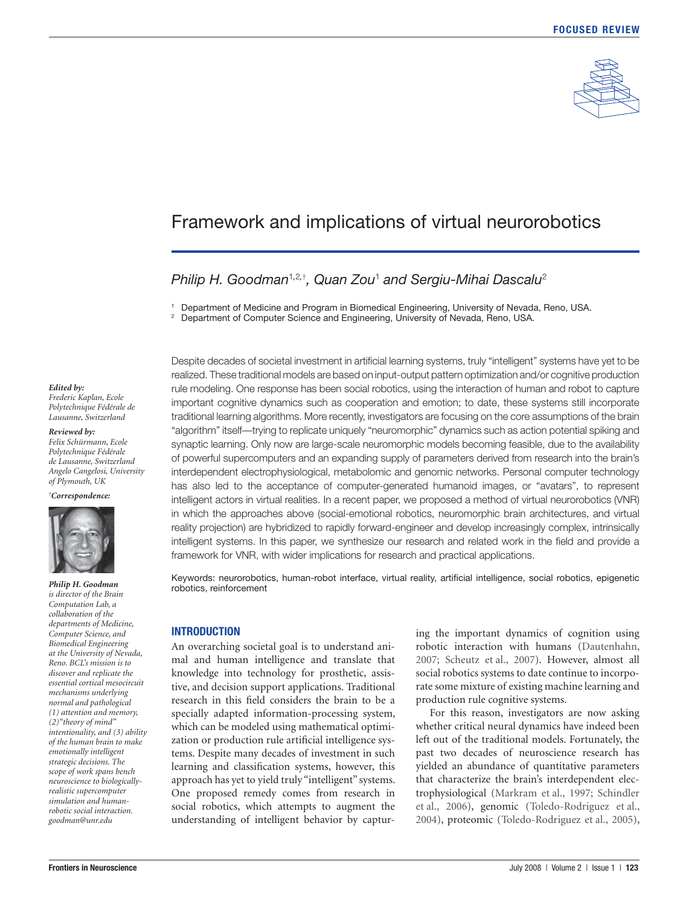

# Framework and implications of virtual neurorobotics

# *Philip H. Goodman*<sup>1</sup>*,*2*,*† *, Quan Zou*<sup>1</sup>  *and Sergiu-Mihai Dascalu*<sup>2</sup>

1 Department of Medicine and Program in Biomedical Engineering, University of Nevada, Reno, USA.

<sup>2</sup> Department of Computer Science and Engineering, University of Nevada, Reno, USA.

*Edited by: Frederic Kaplan, Ecole* 

*Polytechnique Fédérale de Lausanne, Switzerland*

*Reviewed by:*

*Felix Schürmann, Ecole Polytechnique Fédérale de Lausanne, Switzerland Angelo Cangelosi, University of Plymouth, UK*

*† Correspondence:* 



*Philip H. Goodman is director of the Brain Computation Lab, a collaboration of the departments of Medicine, Computer Science, and Biomedical Engineering at the University of Nevada, Reno. BCL's mission is to discover and replicate the essential cortical mesocircuit mechanisms underlying normal and pathological (1) attention and memory, (2)"theory of mind" intentionality, and (3) ability of the human brain to make emotionally intelligent strategic decisions. The scope of work spans bench neuroscience to biologicallyrealistic supercomputer simulation and humanrobotic social interaction. goodman@unr.edu*

Despite decades of societal investment in artificial learning systems, truly "intelligent" systems have yet to be realized. These traditional models are based on input-output pattern optimization and/or cognitive production rule modeling. One response has been social robotics, using the interaction of human and robot to capture important cognitive dynamics such as cooperation and emotion; to date, these systems still incorporate traditional learning algorithms. More recently, investigators are focusing on the core assumptions of the brain "algorithm" itself—trying to replicate uniquely "neuromorphic" dynamics such as action potential spiking and synaptic learning. Only now are large-scale neuromorphic models becoming feasible, due to the availability of powerful supercomputers and an expanding supply of parameters derived from research into the brain's interdependent electrophysiological, metabolomic and genomic networks. Personal computer technology has also led to the acceptance of computer-generated humanoid images, or "avatars", to represent intelligent actors in virtual realities. In a recent paper, we proposed a method of virtual neurorobotics (VNR) in which the approaches above (social-emotional robotics, neuromorphic brain architectures, and virtual reality projection) are hybridized to rapidly forward-engineer and develop increasingly complex, intrinsically intelligent systems. In this paper, we synthesize our research and related work in the field and provide a framework for VNR, with wider implications for research and practical applications.

Keywords: neurorobotics, human-robot interface, virtual reality, artificial intelligence, social robotics, epigenetic robotics, reinforcement

### **INTRODUCTION**

An overarching societal goal is to understand animal and human intelligence and translate that knowledge into technology for prosthetic, assistive, and decision support applications. Traditional research in this field considers the brain to be a specially adapted information-processing system, which can be modeled using mathematical optimization or production rule artificial intelligence systems. Despite many decades of investment in such learning and classification systems, however, this approach has yet to yield truly "intelligent" systems. One proposed remedy comes from research in social robotics, which attempts to augment the understanding of intelligent behavior by capturing the important dynamics of cognition using robotic interaction with humans (Dautenhahn, 2007; Scheutz et al., 2007). However, almost all social robotics systems to date continue to incorporate some mixture of existing machine learning and production rule cognitive systems.

For this reason, investigators are now asking whether critical neural dynamics have indeed been left out of the traditional models. Fortunately, the past two decades of neuroscience research has yielded an abundance of quantitative parameters that characterize the brain's interdependent electrophysiological (Markram et al., 1997; Schindler et al., 2006), genomic (Toledo-Rodriguez et al., 2004), proteomic (Toledo-Rodriguez et al., 2005),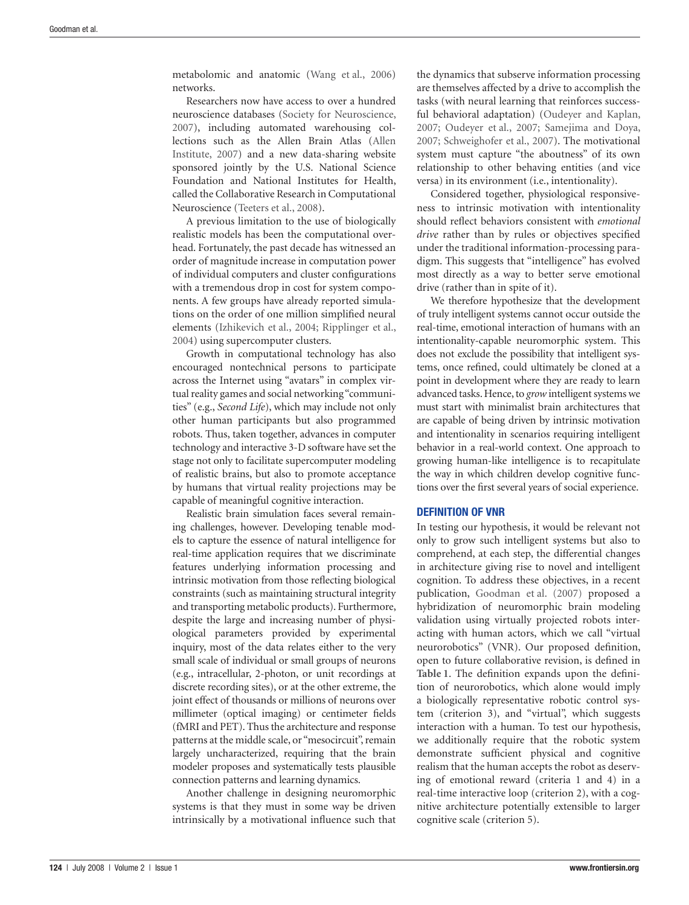metabolomic and anatomic (Wang et al., 2006) networks.

Researchers now have access to over a hundred neuroscience databases (Society for Neuroscience, 2007), including automated warehousing collections such as the Allen Brain Atlas (Allen Institute, 2007) and a new data-sharing website sponsored jointly by the U.S. National Science Foundation and National Institutes for Health, called the Collaborative Research in Computational Neuroscience (Teeters et al., 2008).

A previous limitation to the use of biologically realistic models has been the computational overhead. Fortunately, the past decade has witnessed an order of magnitude increase in computation power of individual computers and cluster configurations with a tremendous drop in cost for system components. A few groups have already reported simulations on the order of one million simplified neural elements (Izhikevich et al., 2004; Ripplinger et al., 2004) using supercomputer clusters.

Growth in computational technology has also encouraged nontechnical persons to participate across the Internet using "avatars" in complex virtual reality games and social networking "communities" (e.g., *Second Life*), which may include not only other human participants but also programmed robots. Thus, taken together, advances in computer technology and interactive 3-D software have set the stage not only to facilitate supercomputer modeling of realistic brains, but also to promote acceptance by humans that virtual reality projections may be capable of meaningful cognitive interaction.

Realistic brain simulation faces several remaining challenges, however. Developing tenable models to capture the essence of natural intelligence for real-time application requires that we discriminate features underlying information processing and intrinsic motivation from those reflecting biological constraints (such as maintaining structural integrity and transporting metabolic products). Furthermore, despite the large and increasing number of physiological parameters provided by experimental inquiry, most of the data relates either to the very small scale of individual or small groups of neurons (e.g., intracellular, 2-photon, or unit recordings at discrete recording sites), or at the other extreme, the joint effect of thousands or millions of neurons over millimeter (optical imaging) or centimeter fields (fMRI and PET). Thus the architecture and response patterns at the middle scale, or "mesocircuit", remain largely uncharacterized, requiring that the brain modeler proposes and systematically tests plausible connection patterns and learning dynamics.

Another challenge in designing neuromorphic systems is that they must in some way be driven intrinsically by a motivational influence such that

the dynamics that subserve information processing are themselves affected by a drive to accomplish the tasks (with neural learning that reinforces successful behavioral adaptation) (Oudeyer and Kaplan, 2007; Oudeyer et al., 2007; Samejima and Doya, 2007; Schweighofer et al., 2007). The motivational system must capture "the aboutness" of its own relationship to other behaving entities (and vice versa) in its environment (i.e., intentionality).

Considered together, physiological responsiveness to intrinsic motivation with intentionality should reflect behaviors consistent with *emotional drive* rather than by rules or objectives specified under the traditional information-processing paradigm. This suggests that "intelligence" has evolved most directly as a way to better serve emotional drive (rather than in spite of it).

We therefore hypothesize that the development of truly intelligent systems cannot occur outside the real-time, emotional interaction of humans with an intentionality-capable neuromorphic system. This does not exclude the possibility that intelligent systems, once refined, could ultimately be cloned at a point in development where they are ready to learn advanced tasks. Hence, to *grow* intelligent systems we must start with minimalist brain architectures that are capable of being driven by intrinsic motivation and intentionality in scenarios requiring intelligent behavior in a real-world context. One approach to growing human-like intelligence is to recapitulate the way in which children develop cognitive functions over the first several years of social experience.

# **DEFINITION OF VNR**

In testing our hypothesis, it would be relevant not only to grow such intelligent systems but also to comprehend, at each step, the differential changes in architecture giving rise to novel and intelligent cognition. To address these objectives, in a recent publication, Goodman et al. (2007) proposed a hybridization of neuromorphic brain modeling validation using virtually projected robots interacting with human actors, which we call "virtual neurorobotics" (VNR). Our proposed definition, open to future collaborative revision, is defined in Table 1. The definition expands upon the definition of neurorobotics, which alone would imply a biologically representative robotic control system (criterion 3), and "virtual", which suggests interaction with a human. To test our hypothesis, we additionally require that the robotic system demonstrate sufficient physical and cognitive realism that the human accepts the robot as deserving of emotional reward (criteria 1 and 4) in a real-time interactive loop (criterion 2), with a cognitive architecture potentially extensible to larger cognitive scale (criterion 5).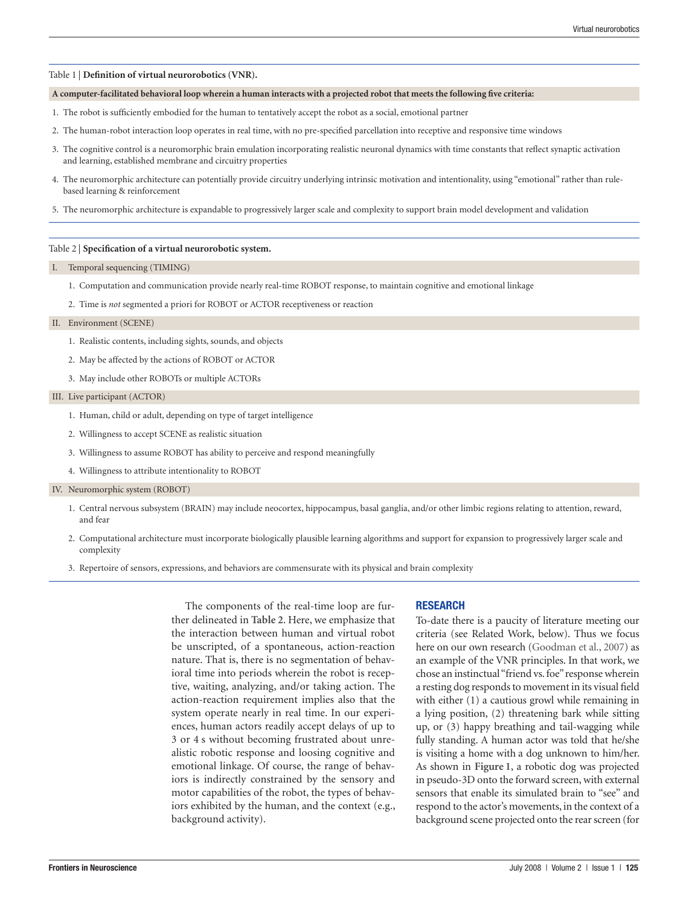#### Table 1 | Definition of virtual neurorobotics (VNR).

#### A computer-facilitated behavioral loop wherein a human interacts with a projected robot that meets the following five criteria:

- 1. The robot is sufficiently embodied for the human to tentatively accept the robot as a social, emotional partner
- 2. The human-robot interaction loop operates in real time, with no pre-specified parcellation into receptive and responsive time windows
- 3. The cognitive control is a neuromorphic brain emulation incorporating realistic neuronal dynamics with time constants that reflect synaptic activation and learning, established membrane and circuitry properties
- 4. The neuromorphic architecture can potentially provide circuitry underlying intrinsic motivation and intentionality, using "emotional" rather than rulebased learning & reinforcement
- 5. The neuromorphic architecture is expandable to progressively larger scale and complexity to support brain model development and validation

#### Table 2 | **Specification of a virtual neurorobotic system.**

#### I. Temporal sequencing (TIMING)

- 1. Computation and communication provide nearly real-time ROBOT response, to maintain cognitive and emotional linkage
- 2. Time is *not* segmented a priori for ROBOT or ACTOR receptiveness or reaction

#### II. Environment (SCENE)

- 1. Realistic contents, including sights, sounds, and objects
- 2. May be affected by the actions of ROBOT or ACTOR
- 3. May include other ROBOTs or multiple ACTORs

#### III. Live participant (ACTOR)

- 1. Human, child or adult, depending on type of target intelligence
- 2. Willingness to accept SCENE as realistic situation
- 3. Willingness to assume ROBOT has ability to perceive and respond meaningfully
- 4. Willingness to attribute intentionality to ROBOT

#### IV. Neuromorphic system (ROBOT)

- 1. Central nervous subsystem (BRAIN) may include neocortex, hippocampus, basal ganglia, and/or other limbic regions relating to attention, reward, and fear
- 2. Computational architecture must incorporate biologically plausible learning algorithms and support for expansion to progressively larger scale and complexity
- 3. Repertoire of sensors, expressions, and behaviors are commensurate with its physical and brain complexity

The components of the real-time loop are further delineated in **Table 2**. Here, we emphasize that the interaction between human and virtual robot be unscripted, of a spontaneous, action-reaction nature. That is, there is no segmentation of behavioral time into periods wherein the robot is receptive, waiting, analyzing, and/or taking action. The action-reaction requirement implies also that the system operate nearly in real time. In our experiences, human actors readily accept delays of up to 3 or 4 s without becoming frustrated about unrealistic robotic response and loosing cognitive and emotional linkage. Of course, the range of behaviors is indirectly constrained by the sensory and motor capabilities of the robot, the types of behaviors exhibited by the human, and the context (e.g., background activity).

#### **RESEARCH**

To-date there is a paucity of literature meeting our criteria (see Related Work, below). Thus we focus here on our own research (Goodman et al., 2007) as an example of the VNR principles. In that work, we chose an instinctual "friend vs. foe" response wherein a resting dog responds to movement in its visual field with either (1) a cautious growl while remaining in a lying position, (2) threatening bark while sitting up, or (3) happy breathing and tail-wagging while fully standing. A human actor was told that he/she is visiting a home with a dog unknown to him/her. As shown in **Figure 1**, a robotic dog was projected in pseudo-3D onto the forward screen, with external sensors that enable its simulated brain to "see" and respond to the actor's movements, in the context of a background scene projected onto the rear screen (for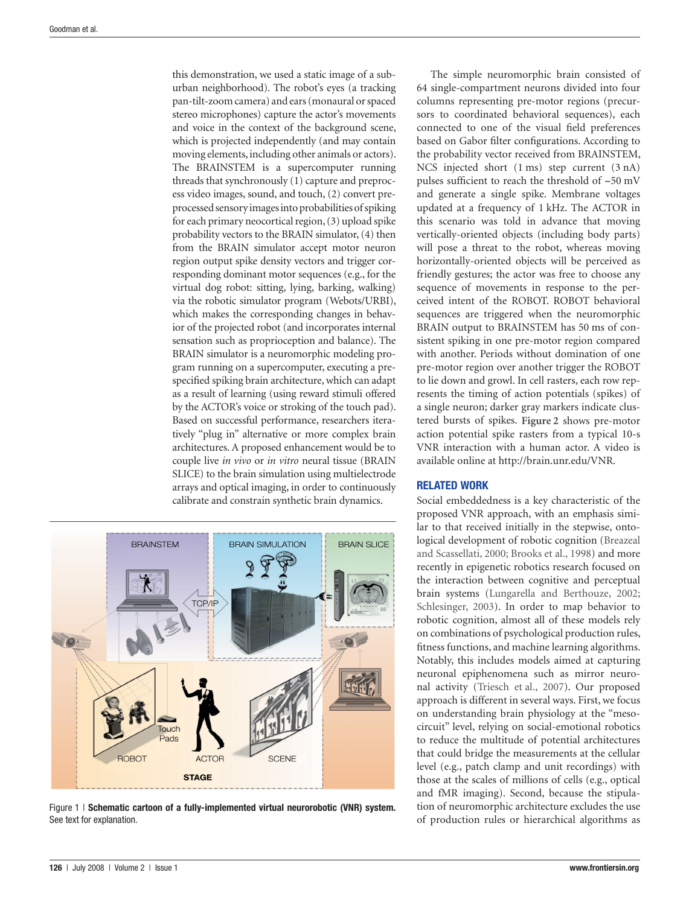this demonstration, we used a static image of a suburban neighborhood). The robot's eyes (a tracking pan-tilt-zoom camera) and ears (monaural or spaced stereo microphones) capture the actor's movements and voice in the context of the background scene, which is projected independently (and may contain moving elements, including other animals or actors). The BRAINSTEM is a supercomputer running threads that synchronously (1) capture and preprocess video images, sound, and touch, (2) convert preprocessed sensory images into probabilities of spiking for each primary neocortical region, (3) upload spike probability vectors to the BRAIN simulator, (4) then from the BRAIN simulator accept motor neuron region output spike density vectors and trigger corresponding dominant motor sequences (e.g., for the virtual dog robot: sitting, lying, barking, walking) via the robotic simulator program (Webots/URBI), which makes the corresponding changes in behavior of the projected robot (and incorporates internal sensation such as proprioception and balance). The BRAIN simulator is a neuromorphic modeling program running on a supercomputer, executing a prespecified spiking brain architecture, which can adapt as a result of learning (using reward stimuli offered by the ACTOR's voice or stroking of the touch pad). Based on successful performance, researchers iteratively "plug in" alternative or more complex brain architectures. A proposed enhancement would be to couple live *in vivo* or *in vitro* neural tissue (BRAIN SLICE) to the brain simulation using multielectrode arrays and optical imaging, in order to continuously calibrate and constrain synthetic brain dynamics.



Figure 1 | **Schematic cartoon of a fully-implemented virtual neurorobotic (VNR) system.** See text for explanation.

The simple neuromorphic brain consisted of 64 single-compartment neurons divided into four columns representing pre-motor regions (precursors to coordinated behavioral sequences), each connected to one of the visual field preferences based on Gabor filter configurations. According to the probability vector received from BRAINSTEM, NCS injected short (1 ms) step current (3 nA) pulses sufficient to reach the threshold of −50 mV and generate a single spike. Membrane voltages updated at a frequency of 1 kHz. The ACTOR in this scenario was told in advance that moving vertically-oriented objects (including body parts) will pose a threat to the robot, whereas moving horizontally-oriented objects will be perceived as friendly gestures; the actor was free to choose any sequence of movements in response to the perceived intent of the ROBOT. ROBOT behavioral sequences are triggered when the neuromorphic BRAIN output to BRAINSTEM has 50 ms of consistent spiking in one pre-motor region compared with another. Periods without domination of one pre-motor region over another trigger the ROBOT to lie down and growl. In cell rasters, each row represents the timing of action potentials (spikes) of a single neuron; darker gray markers indicate clustered bursts of spikes. **Figure 2** shows pre-motor action potential spike rasters from a typical 10-s VNR interaction with a human actor. A video is available online at http://brain.unr.edu/VNR.

# **RELATED WORK**

Social embeddedness is a key characteristic of the proposed VNR approach, with an emphasis similar to that received initially in the stepwise, ontological development of robotic cognition (Breazeal and Scassellati, 2000; Brooks et al., 1998) and more recently in epigenetic robotics research focused on the interaction between cognitive and perceptual brain systems (Lungarella and Berthouze, 2002; Schlesinger, 2003). In order to map behavior to robotic cognition, almost all of these models rely on combinations of psychological production rules, fitness functions, and machine learning algorithms. Notably, this includes models aimed at capturing neuronal epiphenomena such as mirror neuronal activity (Triesch et al., 2007). Our proposed approach is different in several ways. First, we focus on understanding brain physiology at the "mesocircuit" level, relying on social-emotional robotics to reduce the multitude of potential architectures that could bridge the measurements at the cellular level (e.g., patch clamp and unit recordings) with those at the scales of millions of cells (e.g., optical and fMR imaging). Second, because the stipulation of neuromorphic architecture excludes the use of production rules or hierarchical algorithms as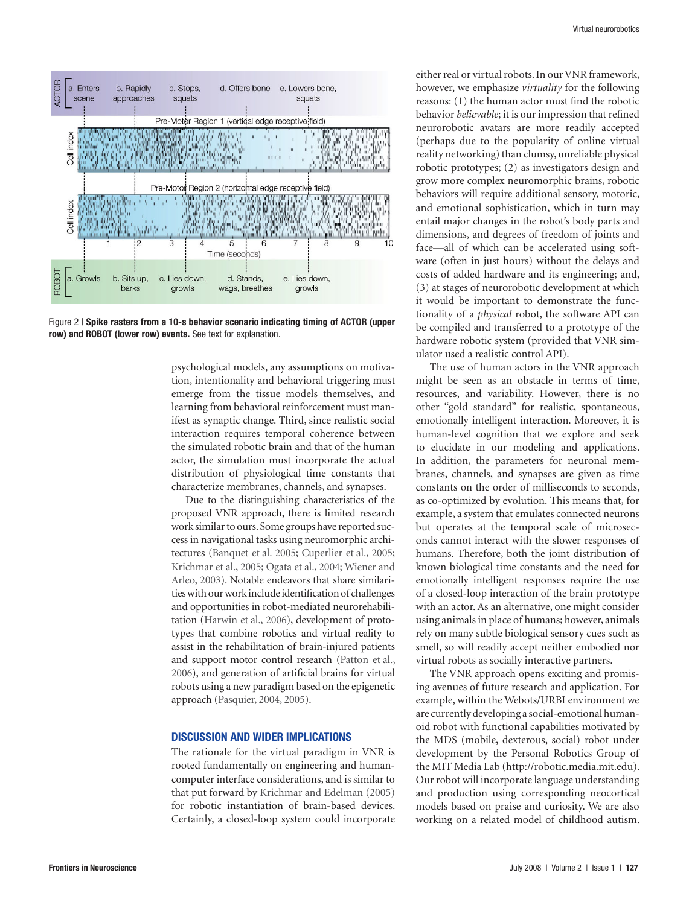

Figure 2 | **Spike rasters from a 10-s behavior scenario indicating timing of ACTOR (upper row) and ROBOT (lower row) events.** See text for explanation.

psychological models, any assumptions on motivation, intentionality and behavioral triggering must emerge from the tissue models themselves, and learning from behavioral reinforcement must manifest as synaptic change. Third, since realistic social interaction requires temporal coherence between the simulated robotic brain and that of the human actor, the simulation must incorporate the actual distribution of physiological time constants that characterize membranes, channels, and synapses.

Due to the distinguishing characteristics of the proposed VNR approach, there is limited research work similar to ours. Some groups have reported success in navigational tasks using neuromorphic architectures (Banquet et al. 2005; Cuperlier et al., 2005; Krichmar et al., 2005; Ogata et al., 2004; Wiener and Arleo, 2003). Notable endeavors that share similarities with our work include identification of challenges and opportunities in robot-mediated neurorehabilitation (Harwin et al., 2006), development of prototypes that combine robotics and virtual reality to assist in the rehabilitation of brain-injured patients and support motor control research (Patton et al., 2006), and generation of artificial brains for virtual robots using a new paradigm based on the epigenetic approach (Pasquier, 2004, 2005).

## **DISCUSSION AND WIDER IMPLICATIONS**

The rationale for the virtual paradigm in VNR is rooted fundamentally on engineering and humancomputer interface considerations, and is similar to that put forward by Krichmar and Edelman (2005) for robotic instantiation of brain-based devices. Certainly, a closed-loop system could incorporate either real or virtual robots. In our VNR framework, however, we emphasize *virtuality* for the following reasons:  $(1)$  the human actor must find the robotic behavior *believable*; it is our impression that refined neurorobotic avatars are more readily accepted (perhaps due to the popularity of online virtual reality networking) than clumsy, unreliable physical robotic prototypes; (2) as investigators design and grow more complex neuromorphic brains, robotic behaviors will require additional sensory, motoric, and emotional sophistication, which in turn may entail major changes in the robot's body parts and dimensions, and degrees of freedom of joints and face—all of which can be accelerated using software (often in just hours) without the delays and costs of added hardware and its engineering; and, (3) at stages of neurorobotic development at which it would be important to demonstrate the functionality of a *physical* robot, the software API can be compiled and transferred to a prototype of the hardware robotic system (provided that VNR simulator used a realistic control API).

The use of human actors in the VNR approach might be seen as an obstacle in terms of time, resources, and variability. However, there is no other "gold standard" for realistic, spontaneous, emotionally intelligent interaction. Moreover, it is human-level cognition that we explore and seek to elucidate in our modeling and applications. In addition, the parameters for neuronal membranes, channels, and synapses are given as time constants on the order of milliseconds to seconds, as co- optimized by evolution. This means that, for example, a system that emulates connected neurons but operates at the temporal scale of microseconds cannot interact with the slower responses of humans. Therefore, both the joint distribution of known biological time constants and the need for emotionally intelligent responses require the use of a closed-loop interaction of the brain prototype with an actor. As an alternative, one might consider using animals in place of humans; however, animals rely on many subtle biological sensory cues such as smell, so will readily accept neither embodied nor virtual robots as socially interactive partners.

The VNR approach opens exciting and promising avenues of future research and application. For example, within the Webots/URBI environment we are currently developing a social- emotional humanoid robot with functional capabilities motivated by the MDS (mobile, dexterous, social) robot under development by the Personal Robotics Group of the MIT Media Lab (http://robotic.media.mit.edu). Our robot will incorporate language understanding and production using corresponding neocortical models based on praise and curiosity. We are also working on a related model of childhood autism.